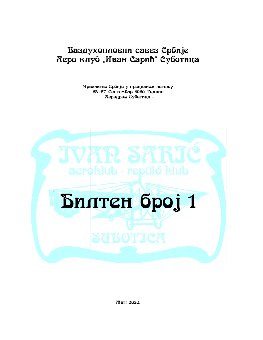# Ваздухопловни савез Србије Керо клуб "Иван Сарић" Суботица

Првенство Србије у прецизном летењу 25.-27. Септембар 2020. Године - Керодром Суботица -



*ffart* 2020.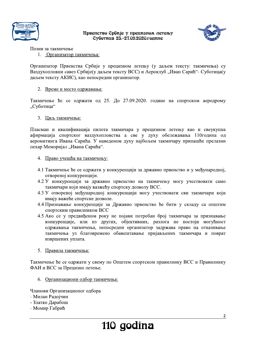



The Hipsencrice Cyour Changes of The Cyour Cyour Cyour Cyour Cyour Cyour Changes of Changes of Changes of The Maria Changes of the Community of The Community of The Community of The Community of The Community of The Commu Организатор Првенства Србије у прецизном летењу (у даљем тексту: такмичења) су 789-:\*)-.(8,'8+2:<.+-,=8>\*?2,@,A82B\*):(0,C2.23@,D@,E-F20,.2/<.@;,.-/0\*123-G,<@, H-)E@I(AC(+:\*,<-+2),=8>\*?2D@,E-F20,.2/<.@,H==G,\*,J28(/C@>,KL+-:,=-8\*MNO,=@>(.\*B-D@, E-F20,.2/<.@,JPL=GQ,/-(,:2A(<82E:\*,(89-:\*)-.(85, ,

## 2. Време и место одржавања:

Такмичење ће се одржати од 25. До 27.09.2020. године на спортском аеродрому "Суботица"

## 3. Циљ такмичења:

2. <u>Време и место одржавања:</u><br>
Такмичење ће се одржати од 25. До 27.09.2020. године на спортском аеродрому<br>
"Суботица"<br>
3. <u>Циљ такмичења:</u><br>
Пласман и квалификација пилота такмичара у прецизном летењу као и свеукупна<br>
афи 3. <u>Циљ такмичења:</u><br>
Пласман и квалификација пилота т<br>
афирмација спортског ваздухопловс<br>
аеромитинга Ивана Сарића. У наведе<br>
пехар Меморијал "Ивана Сарића".<br>
4. <u>Право учешћа на такмичењу:</u><br>
4.1 Такмичење ће се одржати у

- 4.1 Такмичење ће се одржати у конкуренцији за државно првенство и у међународној, отвореној конкуренцији.
- 4.2 У конкуренцији за државно првенство на такмичењу могу учествовати само такмичари који имају вазжећу спортску дозволу ВСС.
- 4.3 У отвореној међународној конкуренцији могу учествовати сви такмичари који имају важеће спортске дозволе.
- 
- 4. Право учешћа на такмичењу:<br>
4.1 Такмичење ће се одржати у конкуренцији за државно првенство и у међународној,<br>
отвореној конкуренцији за државно првенство на такмичењу могу учествовати само<br>
такмичари који имају важећу 4.4 Признавање конкурени<br>
спортским правилнико<br>
4.5 Ако се у предвиђеном<br>
конкуренције, или и<br>
одржавања такмичења<br>
такмичења уз благов<br>
извршених уплата.<br>
5. <u>Правила такмичења:</u><br>
Такмичење ће се одржати у си<br>
ФАИ и ВСС 4.5 Ако се у предвиђеном року не појави потребан број такмичара за признавање<br>
конкуренције, или из других, објективних, разлота не постоји могућност<br>
одржавања такмичења уз благовремено обавештавање пријављених такмичар

6. Организациони одбор такмичења:

Чланови Организационог одбора

- Милан Радојчин
- Златко Дарабош
- Момир Габрић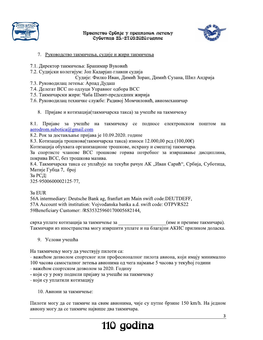



- 
- 
- -
- 
- 
- 
- -

The entertion Cpoint of the universal Cytomaton Cytomate<br>
7. Руководство такмичења, судије и жири такмичења<br>
7.1. Директор такмичења: Бранимир Вуковић<br>
7.2. Судијски колетијум: Јон Кадарјан-тавани судија<br>
7.3. Руководилац 7. Руководство такмичења, судије и жири такмичења<br>
7.1. Директор такмичења: Бранимир Вуковић<br>
7.2. Судијски колегијум: Јон Кадарјан-главни судија<br>
7.3. Руководилац детења: Арпал Дудаш<br>
7.4. Делегат ВСС по одлуци Управиог

7.1. Директор такмичења: Бранимир Вуковић<br>
7.2. Судијски колегијум: Јон Кадарјан-тлавни судија<br>
7.3. Руководилац лесньа: Арцан, Думан<br>
7.4. Делегат ВСС по одлуци Управног одбора ВСС<br>
7.5. Такмичарски жири: Чаба Шмит-пред

7.4. Делеги ВСС по сыдуми Управног озбора ВСС<br>7.5. Такоичарски жири: Чаба Шмит-председник жирија<br>7.6. Руководилац техничке службе: Радиној Момчиловић, авиомеханичар<br>7.6. Руководилац техничке службе: Радиној Момчиловић, а Хотизација обухвата организационе трошкове, исхрану и смештај такмичара.<br>
За спортисте чланове ВСС трошкове горнва потребног за извршавање дисциплина,<br>
8.4. Такмичарска такса се унивћује на текући рачун АК "Иван Сарић", 3a PCJ;<br>
325-9500600002125-77,<br>
33 EUR<br>
56A intermediary: Deutsche Bank ag, franfurt am Main swift code:DEUTDEFF,<br>
57A Account with institution: Vojvodanska banka a.d. swift code: OTPVRS22<br>
59Beneficiary Customer: /RS3532 3 a EUR<br>
S6A intermediary: Deutsche Bank ag, franfurt am Main swift code: DEUTDEFF,<br>
S7A Account with institution: Vojvodanska banka a.d. swift code: OTPVRS22<br>
S9Benerficiary: Customer: 7R35325960170005682144,<br>
eapx 3 yn

На такмичењу могу да учествују пилоти са:<br>
- важећом дозволом спортског или професионалног пилота авиона, који имају минимално<br>
100 часова самосталног летења авионима од чега најмање 5 часова у текућој години<br>
- који су

- 
- 
-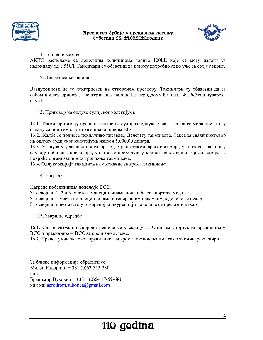



11. Гориво и мазиво:

АКИС располаже са довољним количинама горива 100LL које се могу издати уз надокнаду од 1,55€/1. Такмичари су обавезни да понесу потребно авио уље за своје авионе.

12. Ленгерисање авиона

Ваздухоплови ће се ленгерисати на отвореном простору. Такмичари су обавезни да са собом понесу прибор за ленгерисање авиона. На аеродрому ће бити обезбеђена чуварска служба

13. Приговор на одлуке судијског колегијума

13.1. Такмичари имају право на жалбе на судијске одлуке. Свака жалба се мора предати у складу са општим спортским правилником ВСС.

13.2. Жалбе се подносе искључиво писмено, Делегату такмичења. Такса за сваки приговор на одлуку судијског колегијума износи 5.000,00 динара.

13.3. У случају усвајања приговора од стране такмичарског жирија, уплата се враћа, а у случају одбијања приговора, уплата се приходује у корист непосредног организатора за покриће организационих трошкова такмичења.

13.4. Одлуке жирија такмичења су коначне за време такмичења.

14. Награде

Награде победницима додељује ВСС.

За освојено 1, 2 и 3 место по дисциплинама доделиће се спортске медаље За освојено 1 место по дисциплинама и генералном пласману доделиће се пехар За освојено прво место у отвореној конкуренцији доделиће се прелазни пехар

15. Завршне одредбе

16.1. Сви евентуални спорови решиће се у складу са Општим спортским правилником ВСС и правилником ВСС за прецизно летење.

16.2. Право тумачења овог правилника за време такмичења има само такмичарски жири.

За ближе информације обратити се: Милан Радојчин + 381 (0)63 552-230 или: Бранимир Вуковић +381 (0)64 17-59-681 или на: aerodrom.subotica@gmail.com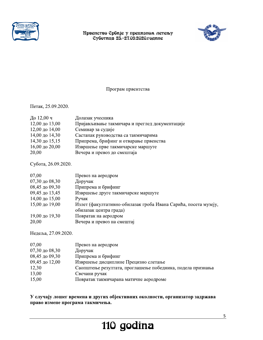



## Програм првентства

Петак, 25.09.2020.

| До 12,00 ч     | Долазак учесника                               |
|----------------|------------------------------------------------|
| 12,00 до 13,00 | Пријављивање такмичара и преглед документације |
| 12,00 до 14,00 | Семинар за судије                              |
| 14,00 до 14,30 | Састанак руководства са такмичарима            |
| 14,30 до 15,15 | Припрема, брифинг и отварање првенства         |
| 16,00 до 20,00 | Извршење прве такмичарске маршуте              |
| 20,00          | Вечера и превоз до смештаја                    |

Субота, 26.09.2020.

| 07,00                     | Превоз на аеродром                                              |
|---------------------------|-----------------------------------------------------------------|
| $07,30 \text{ до } 08,30$ | Доручак                                                         |
| 08,45 до 09,30            | Припрема и брифинг                                              |
| 09,45 до 13,45            | Извршење друге такмичарске маршуте                              |
| 14,00 до 15,00            | Ручак                                                           |
| 15,00 до 19,00            | Излет (факултативно-обилазак гроба Ивана Сарића, посета музеју, |
|                           | обилазак центра града)                                          |
| 19,00 до 19,30            | Повратак на аеродром                                            |
| 20,00                     | Вечера и превоз на смештај                                      |

Недеља, 27.09.2020.

| 07,00                     | Превоз на аеродром                                         |
|---------------------------|------------------------------------------------------------|
| $07,30 \text{ до } 08,30$ | Доручак                                                    |
| 08,45 до 09,30            | Припрема и брифинг                                         |
| 09,45 до 12,00            | Извршење дисциплине Прецизно слетање                       |
| 12,30                     | Саопштење резултата, проглашење победника, подела признања |
| 13,00                     | Свечани ручак                                              |
| 15,00                     | Повратак такмичарана матичне аеродроме                     |

У случају лошег времена и других објективних околности, организатор задржава право измене програма такмичења.